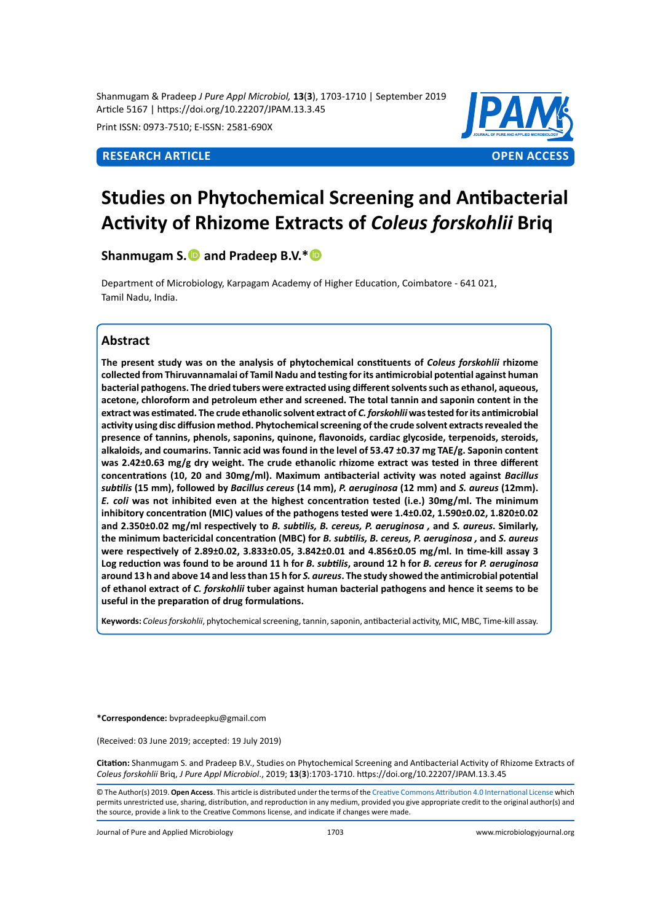Shanmugam & Pradeep *J Pure Appl Microbiol,* **13**(**3**), 1703-1710 | September 2019 Article 5167 | https://doi.org/10.22207/JPAM.13.3.45

Print ISSN: 0973-7510; E-ISSN: 2581-690X



# **Studies on Phytochemical Screening and Antibacterial Activity of Rhizome Extracts of** *Coleus forskohlii* **Briq**

**Shanmugam S. and Pradeep B.V.\*** 

Department of Microbiology, Karpagam Academy of Higher Education, Coimbatore - 641 021, Tamil Nadu, India.

# **Abstract**

**The present study was on the analysis of phytochemical constituents of** *Coleus forskohlii* **rhizome collected from Thiruvannamalai of Tamil Nadu and testing for its antimicrobial potential against human bacterial pathogens. The dried tubers were extracted using different solvents such as ethanol, aqueous, acetone, chloroform and petroleum ether and screened. The total tannin and saponin content in the extract was estimated. The crude ethanolic solvent extract of** *C. forskohlii* **was tested for its antimicrobial activity using disc diffusion method. Phytochemical screening of the crude solvent extracts revealed the presence of tannins, phenols, saponins, quinone, flavonoids, cardiac glycoside, terpenoids, steroids, alkaloids, and coumarins. Tannic acid was found in the level of 53.47 ±0.37 mg TAE/g. Saponin content was 2.42±0.63 mg/g dry weight. The crude ethanolic rhizome extract was tested in three different concentrations (10, 20 and 30mg/ml). Maximum antibacterial activity was noted against** *Bacillus subtilis* **(15 mm), followed by** *Bacillus cereus* **(14 mm),** *P. aeruginosa* **(12 mm) and** *S. aureus* **(12mm).**  *E. coli* **was not inhibited even at the highest concentration tested (i.e.) 30mg/ml. The minimum inhibitory concentration (MIC) values of the pathogens tested were 1.4±0.02, 1.590±0.02, 1.820±0.02 and 2.350±0.02 mg/ml respectively to** *B. subtilis, B. cereus, P. aeruginosa ,* **and** *S. aureus***. Similarly, the minimum bactericidal concentration (MBC) for** *B. subtilis, B. cereus, P. aeruginosa ,* **and** *S. aureus* **were respectively of 2.89±0.02, 3.833±0.05, 3.842±0.01 and 4.856±0.05 mg/ml. In time-kill assay 3 Log reduction was found to be around 11 h for** *B. subtilis***, around 12 h for** *B. cereus* **for** *P. aeruginosa* **around 13 h and above 14 and less than 15 h for** *S. aureus***. The study showed the antimicrobial potential of ethanol extract of** *C. forskohlii* **tuber against human bacterial pathogens and hence it seems to be useful in the preparation of drug formulations.**

**Keywords:** *Coleus forskohlii*, phytochemical screening, tannin, saponin, antibacterial activity, MIC, MBC, Time-kill assay.

**\*Correspondence:** bvpradeepku@gmail.com

(Received: 03 June 2019; accepted: 19 July 2019)

**Citation:** Shanmugam S. and Pradeep B.V., Studies on Phytochemical Screening and Antibacterial Activity of Rhizome Extracts of *Coleus forskohlii* Briq, *J Pure Appl Microbiol*., 2019; **13**(**3**):1703-1710. https://doi.org/10.22207/JPAM.13.3.45

© The Author(s) 2019. **Open Access**. This article is distributed under the terms of the [Creative Commons Attribution 4.0 International License](https://creativecommons.org/licenses/by/4.0/) which permits unrestricted use, sharing, distribution, and reproduction in any medium, provided you give appropriate credit to the original author(s) and the source, provide a link to the Creative Commons license, and indicate if changes were made.

Journal of Pure and Applied Microbiology 1703 www.microbiologyjournal.org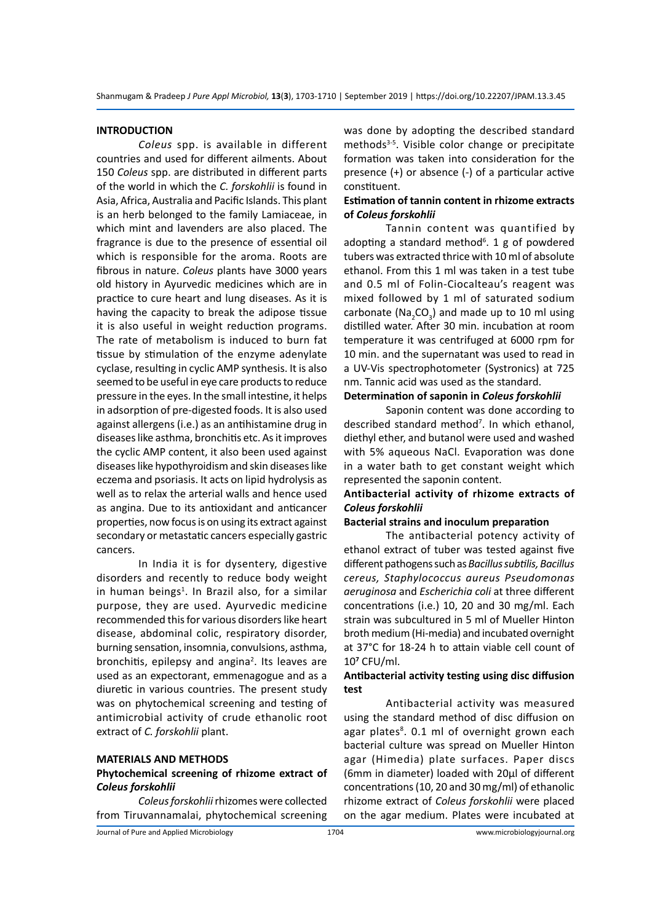#### **INTRODUCTION**

*Coleus* spp. is available in different countries and used for different ailments. About 150 *Coleus* spp. are distributed in different parts of the world in which the *C. forskohlii* is found in Asia, Africa, Australia and Pacific Islands. This plant is an herb belonged to the family Lamiaceae, in which mint and lavenders are also placed. The fragrance is due to the presence of essential oil which is responsible for the aroma. Roots are fibrous in nature. *Coleus* plants have 3000 years old history in Ayurvedic medicines which are in practice to cure heart and lung diseases. As it is having the capacity to break the adipose tissue it is also useful in weight reduction programs. The rate of metabolism is induced to burn fat tissue by stimulation of the enzyme adenylate cyclase, resulting in cyclic AMP synthesis. It is also seemed to be useful in eye care products to reduce pressure in the eyes. In the small intestine, it helps in adsorption of pre-digested foods. It is also used against allergens (i.e.) as an antihistamine drug in diseases like asthma, bronchitis etc. As it improves the cyclic AMP content, it also been used against diseases like hypothyroidism and skin diseases like eczema and psoriasis. It acts on lipid hydrolysis as well as to relax the arterial walls and hence used as angina. Due to its antioxidant and anticancer properties, now focus is on using its extract against secondary or metastatic cancers especially gastric cancers.

In India it is for dysentery, digestive disorders and recently to reduce body weight in human beings<sup>1</sup>. In Brazil also, for a similar purpose, they are used. Ayurvedic medicine recommended this for various disorders like heart disease, abdominal colic, respiratory disorder, burning sensation, insomnia, convulsions, asthma, bronchitis, epilepsy and angina<sup>2</sup>. Its leaves are used as an expectorant, emmenagogue and as a diuretic in various countries. The present study was on phytochemical screening and testing of antimicrobial activity of crude ethanolic root extract of *C. forskohlii* plant.

#### **MATERIALS AND METHODS**

## **Phytochemical screening of rhizome extract of**  *Coleus forskohlii*

*Coleus forskohlii* rhizomes were collected from Tiruvannamalai, phytochemical screening was done by adopting the described standard methods<sup>3-5</sup>. Visible color change or precipitate formation was taken into consideration for the presence (+) or absence (-) of a particular active constituent.

## **Estimation of tannin content in rhizome extracts of** *Coleus forskohlii*

Tannin content was quantified by adopting a standard method<sup>6</sup>. 1 g of powdered tubers was extracted thrice with 10 ml of absolute ethanol. From this 1 ml was taken in a test tube and 0.5 ml of Folin-Ciocalteau's reagent was mixed followed by 1 ml of saturated sodium carbonate (Na<sub>2</sub>CO<sub>3</sub>) and made up to 10 ml using distilled water. After 30 min. incubation at room temperature it was centrifuged at 6000 rpm for 10 min. and the supernatant was used to read in a UV-Vis spectrophotometer (Systronics) at 725 nm. Tannic acid was used as the standard.

# **Determination of saponin in** *Coleus forskohlii*

Saponin content was done according to described standard method7 . In which ethanol, diethyl ether, and butanol were used and washed with 5% aqueous NaCl. Evaporation was done in a water bath to get constant weight which represented the saponin content.

# **Antibacterial activity of rhizome extracts of**  *Coleus forskohlii*

#### **Bacterial strains and inoculum preparation**

The antibacterial potency activity of ethanol extract of tuber was tested against five different pathogens such as *Bacillus subtilis, Bacillus cereus, Staphylococcus aureus Pseudomonas aeruginosa* and *Escherichia coli* at three different concentrations (i.e.) 10, 20 and 30 mg/ml. Each strain was subcultured in 5 ml of Mueller Hinton broth medium (Hi-media) and incubated overnight at 37°C for 18-24 h to attain viable cell count of 10**<sup>7</sup>** CFU/ml.

#### **Antibacterial activity testing using disc diffusion test**

Antibacterial activity was measured using the standard method of disc diffusion on agar plates<sup>8</sup>. 0.1 ml of overnight grown each bacterial culture was spread on Mueller Hinton agar (Himedia) plate surfaces. Paper discs (6mm in diameter) loaded with 20µl of different concentrations (10, 20 and 30 mg/ml) of ethanolic rhizome extract of *Coleus forskohlii* were placed on the agar medium. Plates were incubated at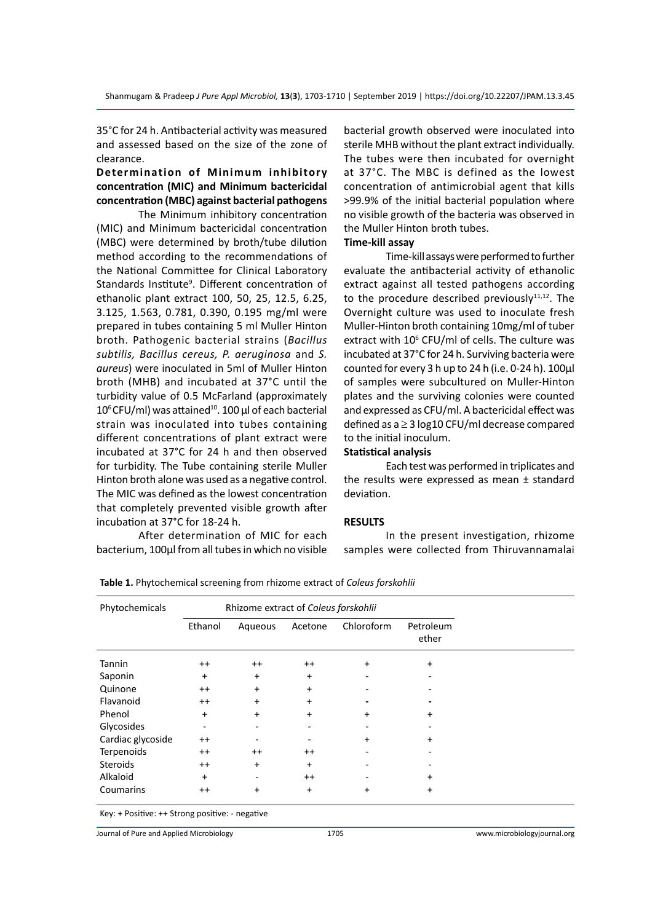35°C for 24 h. Antibacterial activity was measured and assessed based on the size of the zone of clearance.

# **Determination of Minimum inhibitory concentration (MIC) and Minimum bactericidal concentration (MBC) against bacterial pathogens**

The Minimum inhibitory concentration (MIC) and Minimum bactericidal concentration (MBC) were determined by broth/tube dilution method according to the recommendations of the National Committee for Clinical Laboratory Standards Institute<sup>9</sup>. Different concentration of ethanolic plant extract 100, 50, 25, 12.5, 6.25, 3.125, 1.563, 0.781, 0.390, 0.195 mg/ml were prepared in tubes containing 5 ml Muller Hinton broth. Pathogenic bacterial strains (*Bacillus subtilis, Bacillus cereus, P. aeruginosa* and *S. aureus*) were inoculated in 5ml of Muller Hinton broth (MHB) and incubated at 37°C until the turbidity value of 0.5 McFarland (approximately  $10^6$  CFU/ml) was attained<sup>10</sup>. 100 µl of each bacterial strain was inoculated into tubes containing different concentrations of plant extract were incubated at 37°C for 24 h and then observed for turbidity. The Tube containing sterile Muller Hinton broth alone was used as a negative control. The MIC was defined as the lowest concentration that completely prevented visible growth after incubation at 37°C for 18-24 h.

After determination of MIC for each bacterium, 100µl from all tubes in which no visible bacterial growth observed were inoculated into sterile MHB without the plant extract individually. The tubes were then incubated for overnight at 37°C. The MBC is defined as the lowest concentration of antimicrobial agent that kills >99.9% of the initial bacterial population where no visible growth of the bacteria was observed in the Muller Hinton broth tubes.

# **Time-kill assay**

Time-kill assays were performed to further evaluate the antibacterial activity of ethanolic extract against all tested pathogens according to the procedure described previously $11,12$ . The Overnight culture was used to inoculate fresh Muller-Hinton broth containing 10mg/ml of tuber extract with 10<sup>6</sup> CFU/ml of cells. The culture was incubated at 37°C for 24 h. Surviving bacteria were counted for every 3 h up to 24 h (i.e. 0-24 h). 100µl of samples were subcultured on Muller-Hinton plates and the surviving colonies were counted and expressed as CFU/ml. A bactericidal effect was defined as a ≥ 3 log10 CFU/ml decrease compared to the initial inoculum.

#### **Statistical analysis**

Each test was performed in triplicates and the results were expressed as mean ± standard deviation.

#### **RESULTS**

In the present investigation, rhizome samples were collected from Thiruvannamalai

| Phytochemicals    | Rhizome extract of Coleus forskohlii |           |           |            |                    |
|-------------------|--------------------------------------|-----------|-----------|------------|--------------------|
|                   | Ethanol                              | Aqueous   | Acetone   | Chloroform | Petroleum<br>ether |
| Tannin            | $^{++}$                              | $^{++}$   | $^{++}$   | +          | +                  |
| Saponin           | $\ddot{}$                            | $\ddot{}$ | $\ddot{}$ |            |                    |
| Quinone           | $^{++}$                              | $+$       | $+$       |            |                    |
| Flavanoid         | $^{++}$                              | $+$       | $\ddot{}$ |            |                    |
| Phenol            | $\ddot{}$                            | $+$       | $\ddot{}$ | +          | $\ddot{}$          |
| Glycosides        | ۰                                    |           |           |            |                    |
| Cardiac glycoside | $^{++}$                              |           |           | +          | $\ddot{}$          |
| Terpenoids        | $^{++}$                              | $^{++}$   | $^{++}$   |            |                    |
| <b>Steroids</b>   | $^{++}$                              | $+$       | $\ddot{}$ |            |                    |
| Alkaloid          | $\ddot{}$                            |           | $^{++}$   |            | +                  |
| Coumarins         | $^{++}$                              | $\ddot{}$ | $+$       | +          | +                  |

**Table 1.** Phytochemical screening from rhizome extract of *Coleus forskohlii*

Key: + Positive: ++ Strong positive: - negative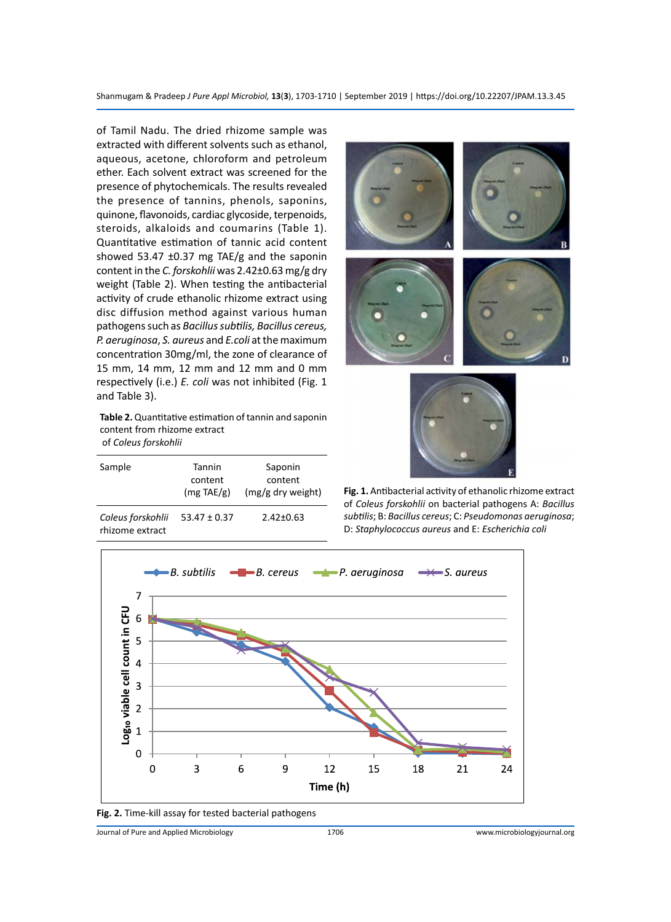Shanmugam & Pradeep *J Pure Appl Microbiol,* **13**(**3**), 1703-1710 | September 2019 | https://doi.org/10.22207/JPAM.13.3.45

of Tamil Nadu. The dried rhizome sample was extracted with different solvents such as ethanol, aqueous, acetone, chloroform and petroleum ether. Each solvent extract was screened for the presence of phytochemicals. The results revealed the presence of tannins, phenols, saponins, quinone, flavonoids, cardiac glycoside, terpenoids, steroids, alkaloids and coumarins (Table 1). Quantitative estimation of tannic acid content showed 53.47  $\pm$ 0.37 mg TAE/g and the saponin content in the *C. forskohlii* was 2.42±0.63 mg/g dry weight (Table 2). When testing the antibacterial activity of crude ethanolic rhizome extract using disc diffusion method against various human pathogens such as *Bacillus subtilis, Bacillus cereus, P. aeruginosa*, *S. aureus* and *E.coli* at the maximum concentration 30mg/ml, the zone of clearance of 15 mm, 14 mm, 12 mm and 12 mm and 0 mm respectively (i.e.) *E. coli* was not inhibited (Fig. 1 and Table 3).

**Table 2.** Quantitative estimation of tannin and saponin content from rhizome extract of *Coleus forskohlii*

| Sample                               | Tannin<br>content<br>$(mg \text{TAE/g})$ | Saponin<br>content<br>(mg/g dry weight) |  |
|--------------------------------------|------------------------------------------|-----------------------------------------|--|
| Coleus forskohlii<br>rhizome extract | $53.47 \pm 0.37$                         | $2.42 \pm 0.63$                         |  |





**Fig. 1.** Antibacterial activity of ethanolic rhizome extract of *Coleus forskohlii* on bacterial pathogens A: *Bacillus subtilis*; B: *Bacillus cereus*; C: *Pseudomonas aeruginosa*; D: *Staphylococcus aureus* and E: *Escherichia coli*



**Fig. 2.** Time-kill assay for tested bacterial pathogens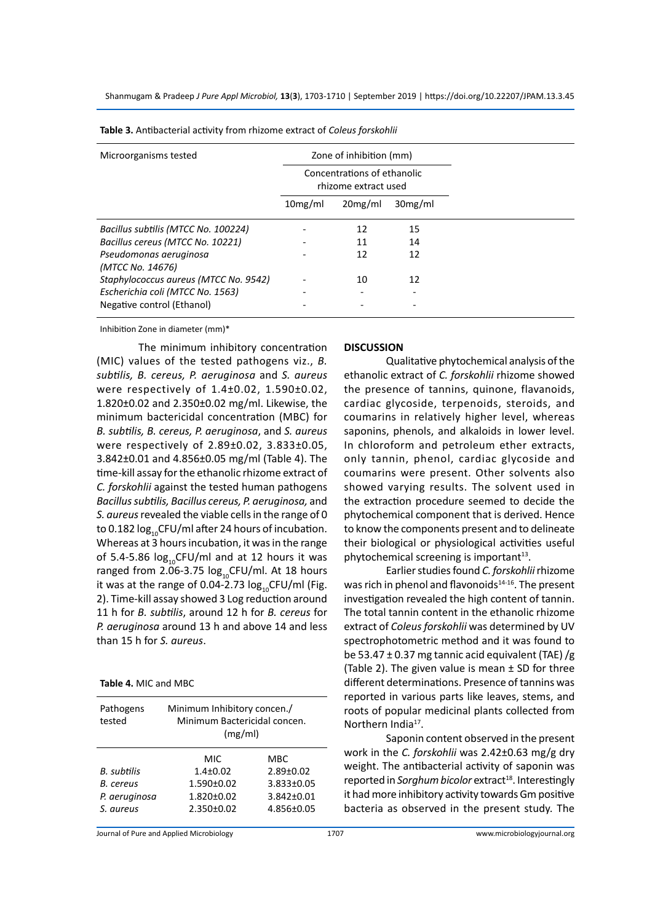Shanmugam & Pradeep *J Pure Appl Microbiol,* **13**(**3**), 1703-1710 | September 2019 | https://doi.org/10.22207/JPAM.13.3.45

| Microorganisms tested                      | Zone of inhibition (mm)<br>Concentrations of ethanolic<br>rhizome extract used |         |         |
|--------------------------------------------|--------------------------------------------------------------------------------|---------|---------|
|                                            |                                                                                |         |         |
|                                            | 10mg/ml                                                                        | 20mg/ml | 30mg/ml |
| Bacillus subtilis (MTCC No. 100224)        |                                                                                | 12      | 15      |
| Bacillus cereus (MTCC No. 10221)           |                                                                                | 11      | 14      |
| Pseudomonas aeruginosa<br>(MTCC No. 14676) |                                                                                | 12      | 12      |
| Staphylococcus aureus (MTCC No. 9542)      |                                                                                | 10      | 12      |
| Escherichia coli (MTCC No. 1563)           |                                                                                |         |         |
| Negative control (Ethanol)                 |                                                                                |         |         |

**Table 3.** Antibacterial activity from rhizome extract of *Coleus forskohlii*

Inhibition Zone in diameter (mm)\*

The minimum inhibitory concentration (MIC) values of the tested pathogens viz., *B. subtilis, B. cereus, P. aeruginosa* and *S. aureus* were respectively of 1.4±0.02, 1.590±0.02, 1.820±0.02 and 2.350±0.02 mg/ml. Likewise, the minimum bactericidal concentration (MBC) for *B. subtilis, B. cereus, P. aeruginosa*, and *S. aureus* were respectively of 2.89±0.02, 3.833±0.05, 3.842±0.01 and 4.856±0.05 mg/ml (Table 4). The time-kill assay for the ethanolic rhizome extract of *C. forskohlii* against the tested human pathogens *Bacillus subtilis, Bacillus cereus, P. aeruginosa,* and *S. aureus* revealed the viable cells in the range of 0 to 0.182  $log_{10}$ CFU/ml after 24 hours of incubation. Whereas at 3 hours incubation, it was in the range of 5.4-5.86  $log_{10}$ CFU/ml and at 12 hours it was ranged from 2.06-3.75  $log_{10}$ CFU/ml. At 18 hours it was at the range of 0.04-2.73  $log_{10}$ CFU/ml (Fig. 2). Time-kill assay showed 3 Log reduction around 11 h for *B. subtilis*, around 12 h for *B. cereus* for *P. aeruginosa* around 13 h and above 14 and less than 15 h for *S. aureus*.

**Table 4.** MIC and MBC

| Pathogens<br>tested | Minimum Inhibitory concen./<br>Minimum Bactericidal concen.<br>(mg/ml) |                  |  |  |
|---------------------|------------------------------------------------------------------------|------------------|--|--|
|                     | MIC                                                                    | <b>MBC</b>       |  |  |
| B. subtilis         | $1.4 \pm 0.02$                                                         | $2.89 \pm 0.02$  |  |  |
| B. cereus           | $1.590 \pm 0.02$                                                       | 3.833±0.05       |  |  |
| P. aeruginosa       | $1.820 \pm 0.02$                                                       | $3.842 \pm 0.01$ |  |  |
| S. aureus           | $2.350 \pm 0.02$                                                       | 4.856±0.05       |  |  |

#### **DISCUSSION**

Qualitative phytochemical analysis of the ethanolic extract of *C. forskohlii* rhizome showed the presence of tannins, quinone, flavanoids, cardiac glycoside, terpenoids, steroids, and coumarins in relatively higher level, whereas saponins, phenols, and alkaloids in lower level. In chloroform and petroleum ether extracts, only tannin, phenol, cardiac glycoside and coumarins were present. Other solvents also showed varying results. The solvent used in the extraction procedure seemed to decide the phytochemical component that is derived. Hence to know the components present and to delineate their biological or physiological activities useful phytochemical screening is important<sup>13</sup>.

Earlier studies found *C. forskohlii* rhizome was rich in phenol and flavonoids $14-16$ . The present investigation revealed the high content of tannin. The total tannin content in the ethanolic rhizome extract of *Coleus forskohlii* was determined by UV spectrophotometric method and it was found to be 53.47  $\pm$  0.37 mg tannic acid equivalent (TAE) /g (Table 2). The given value is mean  $\pm$  SD for three different determinations. Presence of tannins was reported in various parts like leaves, stems, and roots of popular medicinal plants collected from Northern India<sup>17</sup>.

Saponin content observed in the present work in the *C. forskohlii* was 2.42±0.63 mg/g dry weight. The antibacterial activity of saponin was reported in *Sorghum bicolor* extract<sup>18</sup>. Interestingly it had more inhibitory activity towards Gm positive bacteria as observed in the present study. The

Journal of Pure and Applied Microbiology 1707 www.microbiologyjournal.org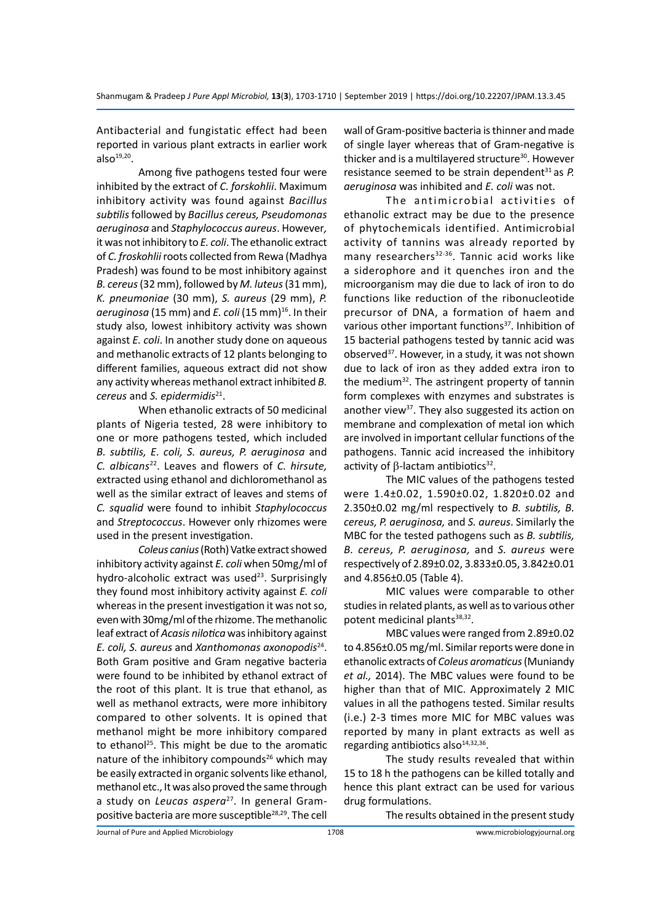Antibacterial and fungistatic effect had been reported in various plant extracts in earlier work  $also^{19,20}$ .

Among five pathogens tested four were inhibited by the extract of *C. forskohlii*. Maximum inhibitory activity was found against *Bacillus subtilis* followed by *Bacillus cereus, Pseudomonas aeruginosa* and *Staphylococcus aureus*. However*,* it was not inhibitory to *E. coli*. The ethanolic extract of *C. froskohlii* roots collected from Rewa (Madhya Pradesh) was found to be most inhibitory against *B. cereus* (32 mm), followed by *M. luteus* (31 mm), *K. pneumoniae* (30 mm), *S. aureus* (29 mm), *P.*  aeruginosa (15 mm) and *E. coli* (15 mm)<sup>16</sup>. In their study also, lowest inhibitory activity was shown against *E. coli*. In another study done on aqueous and methanolic extracts of 12 plants belonging to different families, aqueous extract did not show any activity whereas methanol extract inhibited *B. cereus* and *S. epidermidis*21.

When ethanolic extracts of 50 medicinal plants of Nigeria tested, 28 were inhibitory to one or more pathogens tested, which included *B. subtilis, E. coli, S. aureus, P. aeruginosa* and *C. albicans*<sup>22</sup>. Leaves and flowers of *C. hirsute,* extracted using ethanol and dichloromethanol as well as the similar extract of leaves and stems of *C. squalid* were found to inhibit *Staphylococcus* and *Streptococcus*. However only rhizomes were used in the present investigation.

*Coleus canius* (Roth) Vatke extract showed inhibitory activity against *E. coli* when 50mg/ml of hydro-alcoholic extract was used $23$ . Surprisingly they found most inhibitory activity against *E. coli* whereas in the present investigation it was not so, even with 30mg/ml of the rhizome. The methanolic leaf extract of *Acasis nilotica* was inhibitory against *E. coli, S. aureus* and *Xanthomonas axonopodis*<sup>24</sup>. Both Gram positive and Gram negative bacteria were found to be inhibited by ethanol extract of the root of this plant. It is true that ethanol, as well as methanol extracts, were more inhibitory compared to other solvents. It is opined that methanol might be more inhibitory compared to ethanol<sup>25</sup>. This might be due to the aromatic nature of the inhibitory compounds<sup>26</sup> which may be easily extracted in organic solvents like ethanol, methanol etc., It was also proved the same through a study on *Leucas aspera*27. In general Grampositive bacteria are more susceptible<sup>28,29</sup>. The cell wall of Gram-positive bacteria is thinner and made of single layer whereas that of Gram-negative is thicker and is a multilayered structure<sup>30</sup>. However resistance seemed to be strain dependent<sup>31</sup> as *P*. *aeruginosa* was inhibited and *E. coli* was not.

The antimicrobial activities of ethanolic extract may be due to the presence of phytochemicals identified. Antimicrobial activity of tannins was already reported by many researchers<sup>32-36</sup>. Tannic acid works like a siderophore and it quenches iron and the microorganism may die due to lack of iron to do functions like reduction of the ribonucleotide precursor of DNA, a formation of haem and various other important functions<sup>37</sup>. Inhibition of 15 bacterial pathogens tested by tannic acid was observed<sup>37</sup>. However, in a study, it was not shown due to lack of iron as they added extra iron to the medium32. The astringent property of tannin form complexes with enzymes and substrates is another view<sup>37</sup>. They also suggested its action on membrane and complexation of metal ion which are involved in important cellular functions of the pathogens. Tannic acid increased the inhibitory activity of  $β$ -lactam antibiotics<sup>32</sup>.

The MIC values of the pathogens tested were 1.4±0.02, 1.590±0.02, 1.820±0.02 and 2.350±0.02 mg/ml respectively to *B. subtilis, B. cereus, P. aeruginosa,* and *S. aureus*. Similarly the MBC for the tested pathogens such as *B. subtilis, B. cereus, P. aeruginosa,* and *S. aureus* were respectively of 2.89±0.02, 3.833±0.05, 3.842±0.01 and 4.856±0.05 (Table 4).

MIC values were comparable to other studies in related plants, as well as to various other potent medicinal plants<sup>38,32</sup>.

MBC values were ranged from 2.89±0.02 to 4.856±0.05 mg/ml. Similar reports were done in ethanolic extracts of *Coleus aromaticus* (Muniandy *et al.,* 2014). The MBC values were found to be higher than that of MIC. Approximately 2 MIC values in all the pathogens tested. Similar results (i.e.) 2-3 times more MIC for MBC values was reported by many in plant extracts as well as regarding antibiotics also $14,32,36$ .

The study results revealed that within 15 to 18 h the pathogens can be killed totally and hence this plant extract can be used for various drug formulations.

The results obtained in the present study

Journal of Pure and Applied Microbiology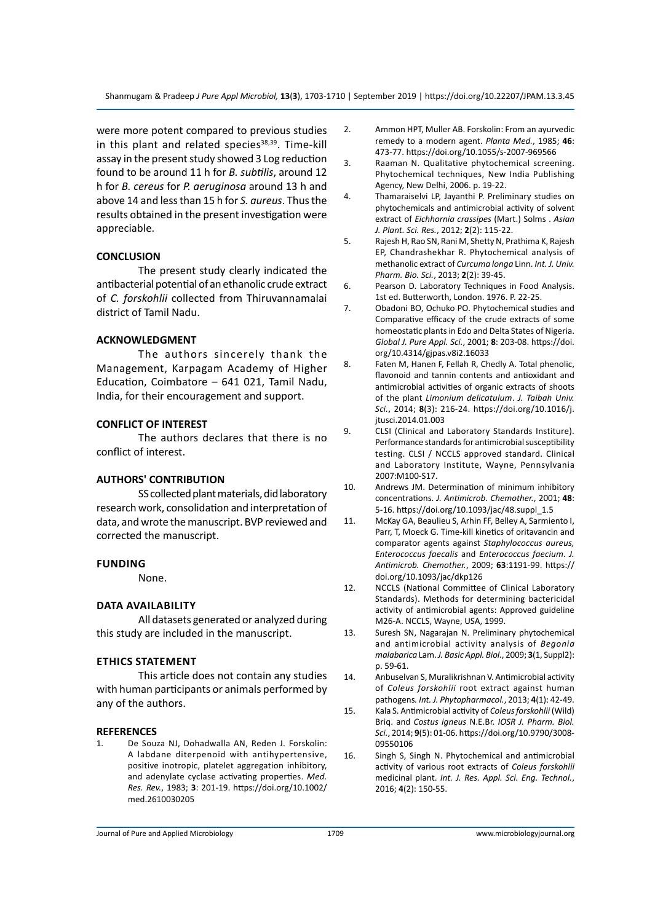were more potent compared to previous studies in this plant and related species $38,39$ . Time-kill assay in the present study showed 3 Log reduction found to be around 11 h for *B. subtilis*, around 12 h for *B. cereus* for *P. aeruginosa* around 13 h and above 14 and less than 15 h for *S. aureus*. Thus the results obtained in the present investigation were appreciable.

#### **CONCLUSION**

The present study clearly indicated the antibacterial potential of an ethanolic crude extract of *C. forskohlii* collected from Thiruvannamalai district of Tamil Nadu.

#### **ACKNOWLEDGMENT**

The authors sincerely thank the Management, Karpagam Academy of Higher Education, Coimbatore – 641 021, Tamil Nadu, India, for their encouragement and support.

#### **CONFLICT OF INTEREST**

The authors declares that there is no conflict of interest.

#### **AUTHORS' CONTRIBUTION**

SS collected plant materials, did laboratory research work, consolidation and interpretation of data, and wrote the manuscript. BVP reviewed and corrected the manuscript.

#### **Funding**

None.

#### **Data availability**

All datasets generated or analyzed during this study are included in the manuscript.

#### **Ethics Statement**

This article does not contain any studies with human participants or animals performed by any of the authors.

#### **REFERENCES**

De Souza NJ, Dohadwalla AN, Reden J. Forskolin: A labdane diterpenoid with antihypertensive, positive inotropic, platelet aggregation inhibitory, and adenylate cyclase activating properties. *Med. Res. Rev.*, 1983; **3**: 201-19. https://doi.org/10.1002/ med.2610030205

- 2. Ammon HPT, Muller AB. Forskolin: From an ayurvedic remedy to a modern agent. *Planta Med.*, 1985; **46**: 473-77. https://doi.org/10.1055/s-2007-969566
- 3. Raaman N. Qualitative phytochemical screening. Phytochemical techniques, New India Publishing Agency, New Delhi, 2006. p. 19-22.
- 4. Thamaraiselvi LP, Jayanthi P. Preliminary studies on phytochemicals and antimicrobial activity of solvent extract of *Eichhornia crassipes* (Mart.) Solms . *Asian J. Plant. Sci. Res.*, 2012; **2**(2): 115-22.
- 5. Rajesh H, Rao SN, Rani M, Shetty N, Prathima K, Rajesh EP, Chandrashekhar R. Phytochemical analysis of methanolic extract of *Curcuma longa* Linn. *Int. J. Univ. Pharm. Bio. Sci.*, 2013; **2**(2): 39-45.
- 6. Pearson D. Laboratory Techniques in Food Analysis. 1st ed. Butterworth, London. 1976. P. 22-25.
- 7. Obadoni BO, Ochuko PO. Phytochemical studies and Comparative efficacy of the crude extracts of some homeostatic plants in Edo and Delta States of Nigeria. *Global J. Pure Appl. Sci.*, 2001; **8**: 203-08. https://doi. org/10.4314/gjpas.v8i2.16033
- 8. Faten M, Hanen F, Fellah R, Chedly A. Total phenolic, flavonoid and tannin contents and antioxidant and antimicrobial activities of organic extracts of shoots of the plant *Limonium delicatulum*. *J. Taibah Univ. Sci.*, 2014; **8**(3): 216-24. https://doi.org/10.1016/j. jtusci.2014.01.003
- 9. CLSI (Clinical and Laboratory Standards Institure). Performance standards for antimicrobial susceptibility testing. CLSI / NCCLS approved standard. Clinical and Laboratory Institute, Wayne, Pennsylvania 2007:M100-S17.
- 10. Andrews JM. Determination of minimum inhibitory concentrations. *J. Antimicrob. Chemother.*, 2001; **48**: 5-16. https://doi.org/10.1093/jac/48.suppl\_1.5
- 11. McKay GA, Beaulieu S, Arhin FF, Belley A, Sarmiento I, Parr, T, Moeck G. Time-kill kinetics of oritavancin and comparator agents against *Staphylococcus aureus, Enterococcus faecalis* and *Enterococcus faecium*. *J. Antimicrob. Chemother.*, 2009; **63**:1191-99. https:// doi.org/10.1093/jac/dkp126
- 12. NCCLS (National Committee of Clinical Laboratory Standards). Methods for determining bactericidal activity of antimicrobial agents: Approved guideline M26-A. NCCLS, Wayne, USA, 1999.
- 13. Suresh SN, Nagarajan N. Preliminary phytochemical and antimicrobial activity analysis of *Begonia malabarica* Lam. *J. Basic Appl. Biol.*, 2009; **3**(1, Suppl2): p. 59-61.
- 14. Anbuselvan S, Muralikrishnan V. Antimicrobial activity of *Coleus forskohlii* root extract against human pathogens*. Int. J. Phytopharmacol.*, 2013; **4**(1): 42-49.
- 15. Kala S. Antimicrobial activity of *Coleus forskohlii* (Wild) Briq. and *Costus igneus* N.E.Br. *IOSR J. Pharm. Biol. Sci.*, 2014; **9**(5): 01-06. https://doi.org/10.9790/3008- 09550106
- 16. Singh S, Singh N. Phytochemical and antimicrobial activity of various root extracts of *Coleus forskohlii* medicinal plant. *Int. J. Res. Appl. Sci. Eng. Technol.*, 2016; **4**(2): 150-55.